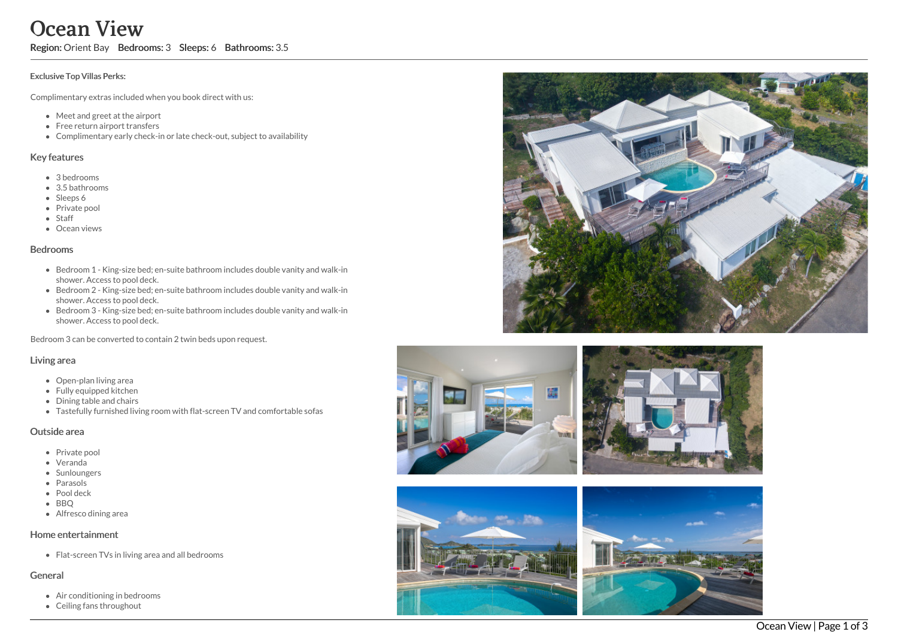# Ocean View

Region: Orient Bay Bedrooms: 3 Sleeps: 6 Bathrooms: 3.5

#### Exclusive Top Villas Perks:

Complimentary extras included when you book direct with us:

- Meet and greet at the airport
- Free return airport transfers
- Complimentary early check-in or late check-out, subject to availability

#### Key features

- 3 b e d r o o m s
- 3.5 bathrooms
- Sleeps 6
- Private pool
- Staff
- **•** Ocean views

#### **Bedrooms**

- Bedroom 1 King-size bed; en-suite bathroom includes double vanity and walk-in shower. Access to pool deck.
- Bedroom 2 King-size bed; en-suite bathroom includes double vanity and walk-in shower. Access to pool deck.
- Bedroom 3 King-size bed; en-suite bathroom includes double vanity and walk-in shower. Access to pool deck.

Bedroom 3 can be converted to contain 2 twin beds upon request.

#### Living area

- Open-plan living area
- Fully equipped kitchen
- Dining table and chairs
- Tastefully furnished living room with flat-screen TV and comfortable sofas

#### Outside area

- Private pool
- Veranda
- Sunloungers
- Parasols
- Pool deck
- BBO
- Alfresco dining area

#### Home entertainment

Flat-screen TVs in living area and all bedrooms

#### General

- Air conditioning in bedrooms
- Ceiling fans throughout



![](_page_0_Picture_38.jpeg)

![](_page_0_Picture_39.jpeg)

![](_page_0_Picture_40.jpeg)

![](_page_0_Picture_41.jpeg)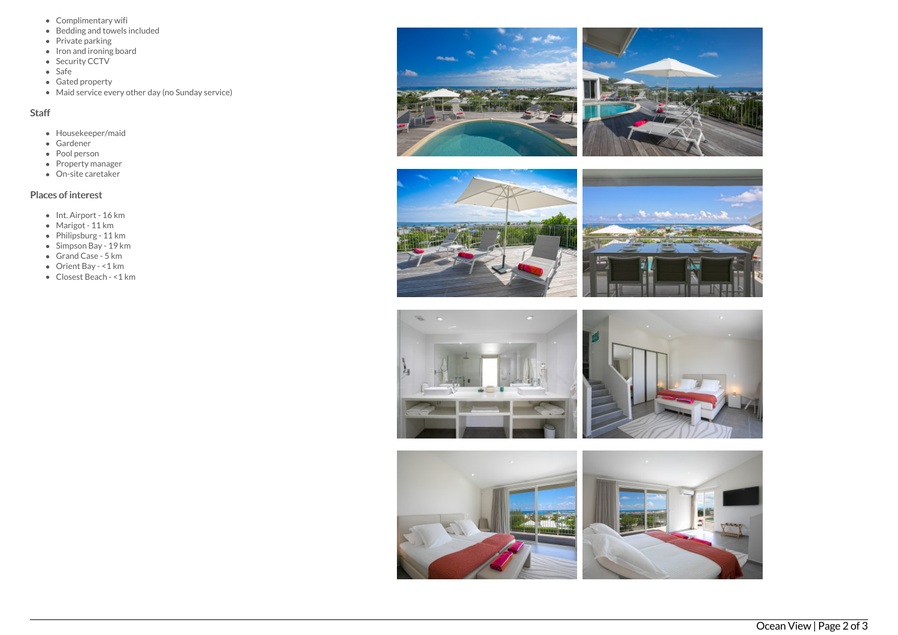- Complimentary wifi
- Bedding and towels included
- Private parking
- Iron and ironing board
- Security CCTV
- $\bullet$  Safe
- Gated property
- Maid service every other day (no Sunday service)

### Staff

- Housekeeper/maid
- Gardener
- Pool person
- Property manager
- On-site caretaker

## Places of interest

- Int. Airport 16 km
- Marigot 11 km
- Philipsburg 11 km
- Simpson Bay 19 km
- Grand Case 5 km
- Orient Bay <1 km
- Closest Beach <1 km

![](_page_1_Picture_22.jpeg)

![](_page_1_Picture_23.jpeg)

![](_page_1_Picture_24.jpeg)

![](_page_1_Picture_25.jpeg)

![](_page_1_Picture_26.jpeg)

![](_page_1_Picture_27.jpeg)

![](_page_1_Picture_28.jpeg)